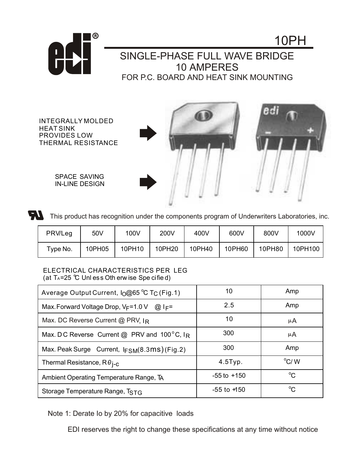

## SINGLE-PHASE FULL WAVE BRIDGE 10 AMPERES FOR P.C. BOARD AND HEAT SINK MOUNTING

INTEGRALLY MOLDED HEAT SINK PROVIDES LOW THERMAL RESISTANCE

> SPACE SAVING IN-LINE DESIGN



10PH



This product has recognition under the components program of Underwriters Laboratories, inc.

| PRWLeg   | 50V    | 100V   | 200V   | 400V   | 600V   | 800V   | 1000V   |
|----------|--------|--------|--------|--------|--------|--------|---------|
| Type No. | 10PH05 | 10PH10 | 10PH20 | 10PH40 | 10PH60 | 10PH80 | 10PH100 |

## ELECTRICAL CHARACTERISTICS PER LEG (at  $T_A = 25$  °C Unless Oth erw ise Spe cified)

| Average Output Current, I <sub>O</sub> @65 °C T <sub>C</sub> (Fig.1) | 10              | Amp           |
|----------------------------------------------------------------------|-----------------|---------------|
| Max. Forward Voltage Drop, $V_F$ =1.0 V @ I <sub>F</sub> =           | 2.5             | Amp           |
| Max. DC Reverse Current @ PRV. IR                                    | 10              | μA            |
| Max. DC Reverse Current @ PRV and 100°C, IR                          | 300             | μA            |
| Max. Peak Surge Current, IFSM(8.3mS) (Fig.2)                         | 300             | Amp           |
| Thermal Resistance, $R\theta_{I-C}$                                  | $4.5$ Typ.      | $\rm ^{o}C/M$ |
| Ambient Operating Temperature Range, TA                              | $-55$ to $+150$ | $^{\circ}C$   |
| Storage Temperature Range, TSTG                                      | $-55$ to $+150$ | °C            |

Note 1: Derate Io by 20% for capacitive loads

EDI reserves the right to change these specifications at any time without notice